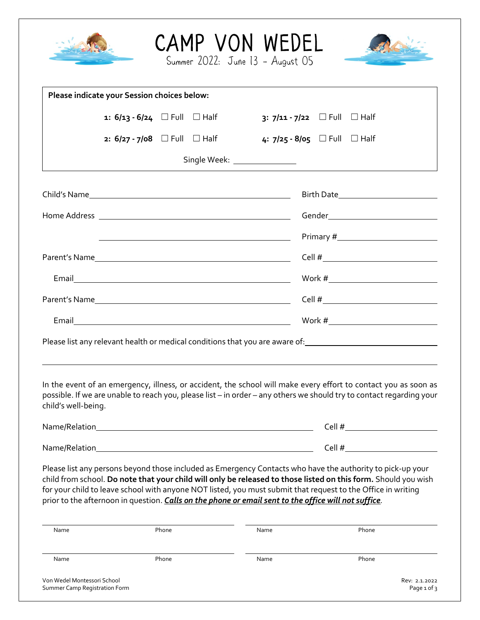|                                                              |                                                                                                                                                                                                                                                                                                                                                                                                                                                      |       |  | CAMP VON WEDEL<br>Summer 2022: June 13 - August 05                                                                   |                              |       |                                       |  |
|--------------------------------------------------------------|------------------------------------------------------------------------------------------------------------------------------------------------------------------------------------------------------------------------------------------------------------------------------------------------------------------------------------------------------------------------------------------------------------------------------------------------------|-------|--|----------------------------------------------------------------------------------------------------------------------|------------------------------|-------|---------------------------------------|--|
|                                                              | Please indicate your Session choices below:                                                                                                                                                                                                                                                                                                                                                                                                          |       |  |                                                                                                                      |                              |       |                                       |  |
|                                                              | 1: $6/13 - 6/24$ Full $\Box$ Half                                                                                                                                                                                                                                                                                                                                                                                                                    |       |  |                                                                                                                      | 3: 7/11 - 7/22 □ Full □ Half |       |                                       |  |
|                                                              |                                                                                                                                                                                                                                                                                                                                                                                                                                                      |       |  | 2: 6/27 - 7/08 □ Full □ Half 4: 7/25 - 8/05 □ Full □ Half                                                            |                              |       |                                       |  |
|                                                              |                                                                                                                                                                                                                                                                                                                                                                                                                                                      |       |  | Single Week: ________________                                                                                        |                              |       |                                       |  |
|                                                              |                                                                                                                                                                                                                                                                                                                                                                                                                                                      |       |  |                                                                                                                      |                              |       | Birth Date___________________________ |  |
|                                                              |                                                                                                                                                                                                                                                                                                                                                                                                                                                      |       |  |                                                                                                                      |                              |       | Gender_______________________________ |  |
|                                                              |                                                                                                                                                                                                                                                                                                                                                                                                                                                      |       |  | <u> 1989 - Johann Barn, mars eta bat erroman erroman erroman erroman erroman erroman erroman erroman erroman err</u> |                              |       |                                       |  |
|                                                              |                                                                                                                                                                                                                                                                                                                                                                                                                                                      |       |  |                                                                                                                      |                              |       |                                       |  |
|                                                              |                                                                                                                                                                                                                                                                                                                                                                                                                                                      |       |  |                                                                                                                      |                              |       |                                       |  |
|                                                              |                                                                                                                                                                                                                                                                                                                                                                                                                                                      |       |  |                                                                                                                      |                              |       |                                       |  |
|                                                              | Email Work #                                                                                                                                                                                                                                                                                                                                                                                                                                         |       |  |                                                                                                                      |                              |       |                                       |  |
|                                                              | Please list any relevant health or medical conditions that you are aware of: 100000000000000000000000000000000                                                                                                                                                                                                                                                                                                                                       |       |  |                                                                                                                      |                              |       |                                       |  |
| child's well-being.                                          | In the event of an emergency, illness, or accident, the school will make every effort to contact you as soon as<br>possible. If we are unable to reach you, please list - in order - any others we should try to contact regarding your                                                                                                                                                                                                              |       |  |                                                                                                                      |                              |       |                                       |  |
|                                                              |                                                                                                                                                                                                                                                                                                                                                                                                                                                      |       |  |                                                                                                                      |                              |       |                                       |  |
|                                                              |                                                                                                                                                                                                                                                                                                                                                                                                                                                      |       |  |                                                                                                                      |                              |       |                                       |  |
| Name                                                         | Please list any persons beyond those included as Emergency Contacts who have the authority to pick-up your<br>child from school. Do note that your child will only be released to those listed on this form. Should you wish<br>for your child to leave school with anyone NOT listed, you must submit that request to the Office in writing<br>prior to the afternoon in question. Calls on the phone or email sent to the office will not suffice. | Phone |  | Name                                                                                                                 |                              | Phone |                                       |  |
|                                                              |                                                                                                                                                                                                                                                                                                                                                                                                                                                      |       |  |                                                                                                                      |                              |       |                                       |  |
| Name                                                         |                                                                                                                                                                                                                                                                                                                                                                                                                                                      | Phone |  | Name                                                                                                                 |                              | Phone |                                       |  |
| Von Wedel Montessori School<br>Summer Camp Registration Form |                                                                                                                                                                                                                                                                                                                                                                                                                                                      |       |  |                                                                                                                      |                              |       | Rev: 2.1.2022<br>Page 1 of 3          |  |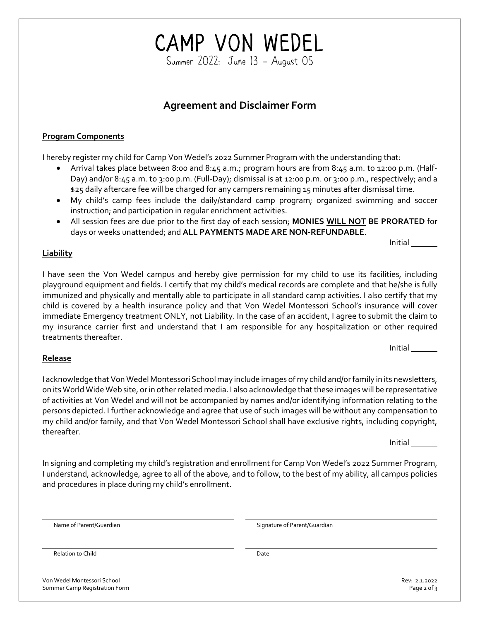Von Wedel Montessori School Rev: 2.1.2022 Summer Camp Registration Form **Page 2 of 3** and 2 of 3 and 2 of 3 and 2 of 3 and 2 of 3 and 2 of 3 and 2 of 3 and 2 of 3 and 2 of 3 and 2 of 3 and 2 of 3 and 2 of 3 and 2 of 3 and 2 of 3 and 2 of 3 and 2 of 3 and 2 of 3 an

## CAMP VON WEDEL<br>Summer 2022: June 13 – August 05

#### **Agreement and Disclaimer Form**

#### **Program Components**

I hereby register my child for Camp Von Wedel's 2022 Summer Program with the understanding that:

- Arrival takes place between 8:00 and 8:45 a.m.; program hours are from 8:45 a.m. to 12:00 p.m. (Half-Day) and/or 8:45 a.m. to 3:00 p.m. (Full-Day); dismissal is at 12:00 p.m. or 3:00 p.m., respectively; and a \$25 daily aftercare fee will be charged for any campers remaining 15 minutes after dismissal time.
- My child's camp fees include the daily/standard camp program; organized swimming and soccer instruction; and participation in regular enrichment activities.
- All session fees are due prior to the first day of each session; **MONIES WILL NOT BE PRORATED** for days or weeks unattended; and **ALL PAYMENTS MADE ARE NON-REFUNDABLE**.

**Liability**

I have seen the Von Wedel campus and hereby give permission for my child to use its facilities, including playground equipment and fields. I certify that my child's medical records are complete and that he/she is fully immunized and physically and mentally able to participate in all standard camp activities. I also certify that my child is covered by a health insurance policy and that Von Wedel Montessori School's insurance will cover immediate Emergency treatment ONLY, not Liability. In the case of an accident, I agree to submit the claim to my insurance carrier first and understand that I am responsible for any hospitalization or other required treatments thereafter.

#### **Release**

I acknowledge that Von Wedel Montessori School may include images of my child and/or family in its newsletters, on its World Wide Web site, or in other related media. I also acknowledge that these images will be representative of activities at Von Wedel and will not be accompanied by names and/or identifying information relating to the persons depicted. I further acknowledge and agree that use of such images will be without any compensation to my child and/or family, and that Von Wedel Montessori School shall have exclusive rights, including copyright, thereafter.

Initial

In signing and completing my child's registration and enrollment for Camp Von Wedel's 2022 Summer Program, I understand, acknowledge, agree to all of the above, and to follow, to the best of my ability, all campus policies and procedures in place during my child's enrollment.

Name of Parent/Guardian and Signature of Parent/Guardian Signature of Parent/Guardian

Relation to Child Date Date Date Date Date Date Date

Initial

Initial